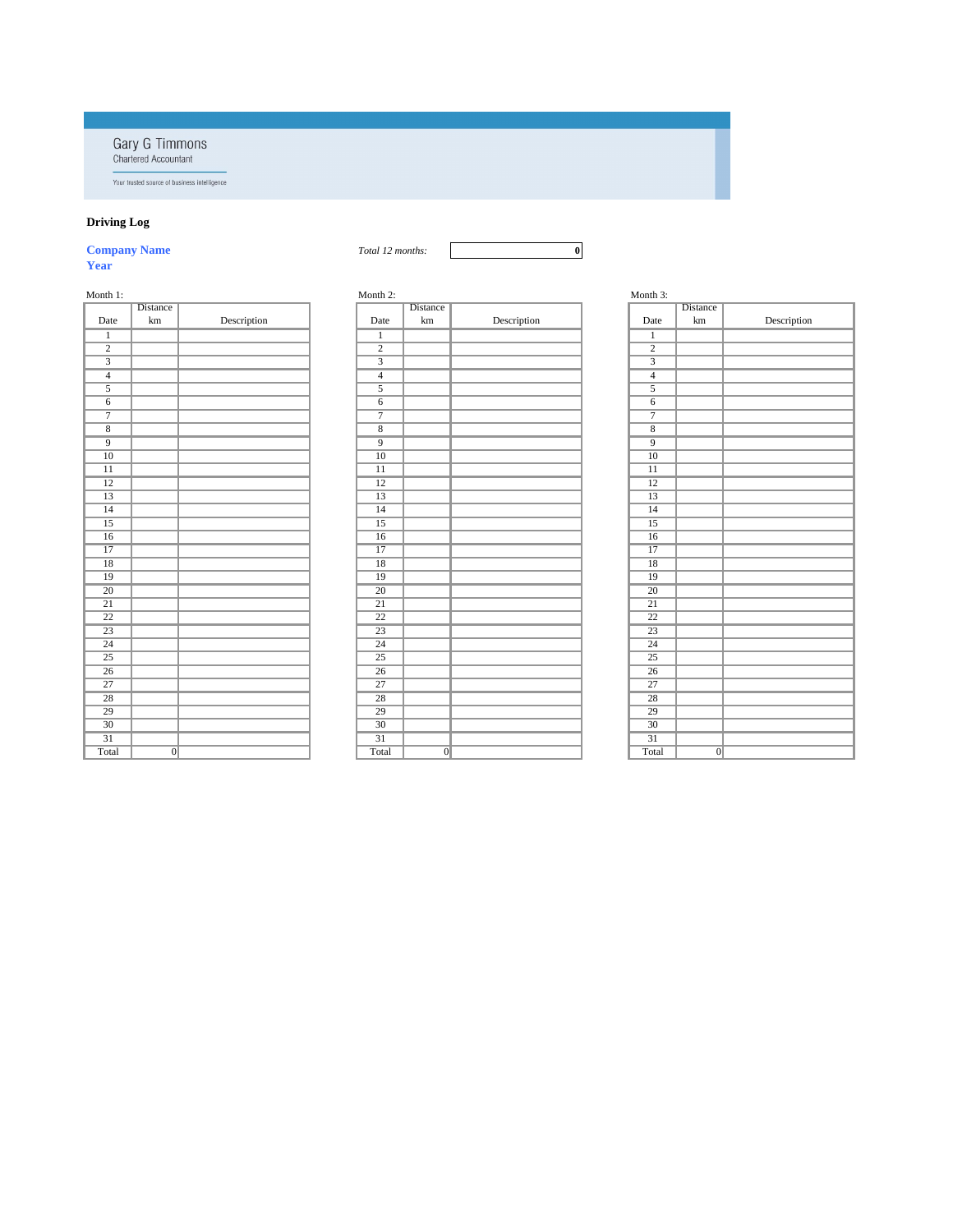**Gary G Timmons**<br>Chartered Accountant

Your trusted source of business intelligence

# **Driving Log**

| <b>Company Name</b><br>12.<br>Total L<br>months: | 0 |
|--------------------------------------------------|---|
|--------------------------------------------------|---|

**Year**

| Month 3:        |                 |             |
|-----------------|-----------------|-------------|
|                 | <b>Distance</b> |             |
| Date            | km              | Description |
| $\overline{1}$  |                 |             |
| $\overline{2}$  |                 |             |
| $\overline{3}$  |                 |             |
| $\overline{4}$  |                 |             |
| $\overline{5}$  |                 |             |
| $\overline{6}$  |                 |             |
| $\overline{7}$  |                 |             |
| $\overline{8}$  |                 |             |
| $\overline{9}$  |                 |             |
| $\overline{10}$ |                 |             |
| $\overline{11}$ |                 |             |
| $\overline{12}$ |                 |             |
| $\overline{13}$ |                 |             |
| $\overline{14}$ |                 |             |
| $\overline{15}$ |                 |             |
| $\overline{16}$ |                 |             |
| $\overline{17}$ |                 |             |
| $\overline{18}$ |                 |             |
| $\overline{19}$ |                 |             |
| $\overline{20}$ |                 |             |
| $\overline{21}$ |                 |             |
| 22              |                 |             |
| $\overline{23}$ |                 |             |
| $\overline{24}$ |                 |             |
| $\overline{25}$ |                 |             |
| $\overline{26}$ |                 |             |
| $\overline{27}$ |                 |             |
| $\overline{28}$ |                 |             |
| $\overline{29}$ |                 |             |
| $\overline{30}$ |                 |             |
| $\overline{31}$ |                 |             |
| Total           | $\overline{0}$  |             |

| Month 1:        |                 |             | Month 2:        |                 |             | Month 3:        |                |
|-----------------|-----------------|-------------|-----------------|-----------------|-------------|-----------------|----------------|
|                 | Distance        |             |                 | Distance        |             |                 | Distance       |
| Date            | $\,\mathrm{km}$ | Description | Date            | $\,\mathrm{km}$ | Description | Date            | km             |
| $\mathbf{1}$    |                 |             | $\mathbf{1}$    |                 |             | $\mathbf{1}$    |                |
| $\overline{2}$  |                 |             | $\overline{2}$  |                 |             | $\overline{2}$  |                |
| $\overline{3}$  |                 |             | $\overline{3}$  |                 |             | $\overline{3}$  |                |
| $\overline{4}$  |                 |             | $\overline{4}$  |                 |             | $\overline{4}$  |                |
| $\overline{5}$  |                 |             | $\sqrt{5}$      |                 |             | $\overline{5}$  |                |
| $\overline{6}$  |                 |             | $\overline{6}$  |                 |             | $\overline{6}$  |                |
| $\overline{7}$  |                 |             | $\overline{7}$  |                 |             | $\overline{7}$  |                |
| $\overline{8}$  |                 |             | $\overline{8}$  |                 |             | $\overline{8}$  |                |
| $\overline{9}$  |                 |             | $\overline{9}$  |                 |             | $\overline{9}$  |                |
| $\overline{10}$ |                 |             | $\overline{10}$ |                 |             | $\overline{10}$ |                |
| $\overline{11}$ |                 |             | $\overline{11}$ |                 |             | $\overline{11}$ |                |
| $\overline{12}$ |                 |             | $\overline{12}$ |                 |             | $\overline{12}$ |                |
| $\overline{13}$ |                 |             | $\overline{13}$ |                 |             | $\overline{13}$ |                |
| $\overline{14}$ |                 |             | $\overline{14}$ |                 |             | $\overline{14}$ |                |
| $\overline{15}$ |                 |             | $\overline{15}$ |                 |             | $\overline{15}$ |                |
| $\overline{16}$ |                 |             | $\overline{16}$ |                 |             | $\overline{16}$ |                |
| $\overline{17}$ |                 |             | $\overline{17}$ |                 |             | $\overline{17}$ |                |
| $\overline{18}$ |                 |             | $\overline{18}$ |                 |             | $\overline{18}$ |                |
| $\overline{19}$ |                 |             | $\overline{19}$ |                 |             | $\overline{19}$ |                |
| $\overline{20}$ |                 |             | $\overline{20}$ |                 |             | $\overline{20}$ |                |
| $\overline{21}$ |                 |             | $\overline{21}$ |                 |             | $\overline{21}$ |                |
| $\overline{22}$ |                 |             | $\overline{22}$ |                 |             | $\overline{22}$ |                |
| $\overline{23}$ |                 |             | $\overline{23}$ |                 |             | $\overline{23}$ |                |
| $\overline{24}$ |                 |             | $\overline{24}$ |                 |             | $\overline{24}$ |                |
| $\overline{25}$ |                 |             | $\overline{25}$ |                 |             | $\overline{25}$ |                |
| $\overline{26}$ |                 |             | $\overline{26}$ |                 |             | $\overline{26}$ |                |
| $\overline{27}$ |                 |             | $\overline{27}$ |                 |             | $\overline{27}$ |                |
| $\overline{28}$ |                 |             | $\overline{28}$ |                 |             | $\overline{28}$ |                |
| $\overline{29}$ |                 |             | $\overline{29}$ |                 |             | $\overline{29}$ |                |
| $\overline{30}$ |                 |             | $\overline{30}$ |                 |             | $\overline{30}$ |                |
| $\overline{31}$ |                 |             | $\overline{31}$ |                 |             | $\overline{31}$ |                |
| Total           | $\overline{0}$  |             | Total           | $\overline{0}$  |             | Total           | $\overline{0}$ |

| ith 1:          |                 |             | Month 2:        |                 |             |  |
|-----------------|-----------------|-------------|-----------------|-----------------|-------------|--|
|                 | <b>Distance</b> |             |                 | Distance        |             |  |
| <b>Jate</b>     | km              | Description | Date            | $\,\mathrm{km}$ | Description |  |
| $\mathbf{1}$    |                 |             | $\mathbf{1}$    |                 |             |  |
| $\frac{2}{3}$   |                 |             | $\overline{2}$  |                 |             |  |
|                 |                 |             | $\overline{3}$  |                 |             |  |
| $\overline{4}$  |                 |             | $\overline{4}$  |                 |             |  |
| $\overline{5}$  |                 |             | $\overline{5}$  |                 |             |  |
| 6               |                 |             | $\overline{6}$  |                 |             |  |
| $\overline{7}$  |                 |             | $\overline{7}$  |                 |             |  |
| $\overline{8}$  |                 |             | $\overline{8}$  |                 |             |  |
| $\overline{9}$  |                 |             | $\overline{9}$  |                 |             |  |
| $\overline{10}$ |                 |             | $\overline{10}$ |                 |             |  |
| $\overline{11}$ |                 |             | $\overline{11}$ |                 |             |  |
| $\overline{12}$ |                 |             | $\overline{12}$ |                 |             |  |
| $\overline{13}$ |                 |             | $\overline{13}$ |                 |             |  |
| $\overline{14}$ |                 |             | $\overline{14}$ |                 |             |  |
| $\overline{15}$ |                 |             | $\overline{15}$ |                 |             |  |
| 16              |                 |             | 16              |                 |             |  |
| $\overline{17}$ |                 |             | $\overline{17}$ |                 |             |  |
| $\overline{18}$ |                 |             | $\overline{18}$ |                 |             |  |
| $\overline{19}$ |                 |             | $\overline{19}$ |                 |             |  |
| $\overline{20}$ |                 |             | $\overline{20}$ |                 |             |  |
| $\overline{21}$ |                 |             | $\overline{21}$ |                 |             |  |
| $\overline{22}$ |                 |             | $\overline{22}$ |                 |             |  |
| $\overline{23}$ |                 |             | $\overline{23}$ |                 |             |  |
| $\overline{24}$ |                 |             | $\overline{24}$ |                 |             |  |
| $\overline{25}$ |                 |             | $\overline{25}$ |                 |             |  |
| $\overline{26}$ |                 |             | $\overline{26}$ |                 |             |  |
| $\overline{27}$ |                 |             | $\overline{27}$ |                 |             |  |
| $\overline{28}$ |                 |             | $\overline{28}$ |                 |             |  |
| $\overline{29}$ |                 |             | $\overline{29}$ |                 |             |  |
| $\overline{30}$ |                 |             | $\overline{30}$ |                 |             |  |
| $\overline{31}$ |                 |             | $\overline{31}$ |                 |             |  |
| htal            | $\overline{0}$  |             | Total           | $\overline{0}$  |             |  |

| Month 3 |  |
|---------|--|
|---------|--|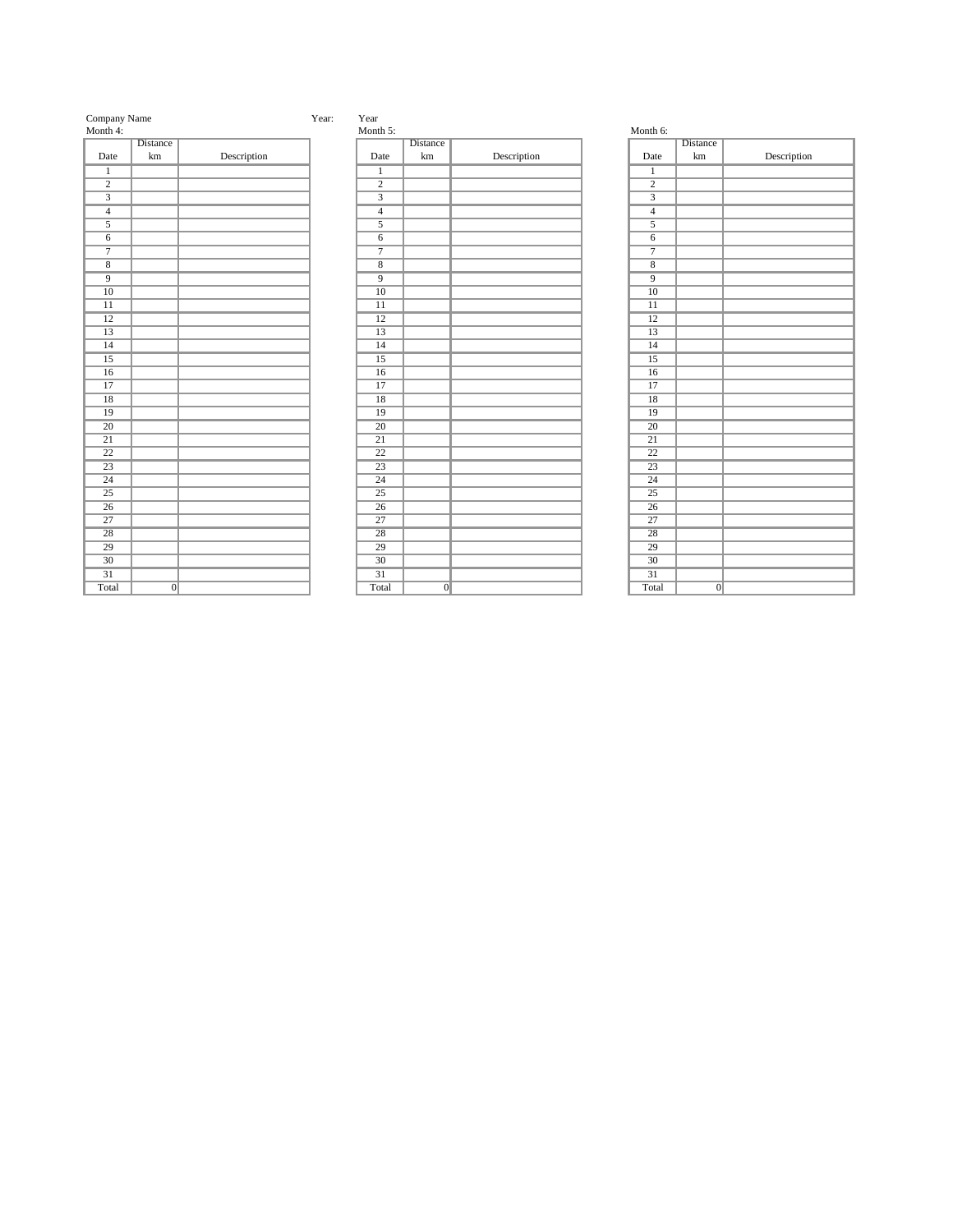| Company Nam |
|-------------|
|-------------|

| Month 4:        |                 |             | Month :            |
|-----------------|-----------------|-------------|--------------------|
|                 | <b>Distance</b> |             |                    |
| Date            | $\,\mathrm{km}$ | Description | Date               |
| $\overline{1}$  |                 |             | $\overline{1}$     |
| $\overline{2}$  |                 |             | $\overline{2}$     |
| $\overline{3}$  |                 |             | $\overline{3}$     |
| $\overline{4}$  |                 |             | $\overline{4}$     |
| $\overline{5}$  |                 |             | $\overline{5}$     |
| $\overline{6}$  |                 |             | $\sqrt{6}$         |
| $\overline{7}$  |                 |             | $\overline{7}$     |
| $\overline{8}$  |                 |             | $\overline{\bf 8}$ |
| $\overline{9}$  |                 |             | $\overline{9}$     |
| $\overline{10}$ |                 |             | $\overline{10}$    |
| $\overline{11}$ |                 |             | $\overline{11}$    |
| $\overline{12}$ |                 |             | $\overline{12}$    |
| 13              |                 |             | 13                 |
| $\overline{14}$ |                 |             | $\overline{14}$    |
| $\overline{15}$ |                 |             | 15                 |
| $\overline{16}$ |                 |             | $\overline{16}$    |
| 17              |                 |             | 17                 |
| $\overline{18}$ |                 |             | $\overline{18}$    |
| 19              |                 |             | 19                 |
| $\overline{20}$ |                 |             | $\overline{20}$    |
| $\overline{21}$ |                 |             | 21                 |
| $\overline{22}$ |                 |             | $\overline{22}$    |
| $\overline{23}$ |                 |             | 23                 |
| $\overline{24}$ |                 |             | $\overline{24}$    |
| $25\,$          |                 |             | 25                 |
| $\overline{26}$ |                 |             | $\overline{26}$    |
| $\overline{27}$ |                 |             | $\overline{27}$    |
| $\overline{28}$ |                 |             | $\overline{28}$    |
| 29              |                 |             | 29                 |
| $\overline{30}$ |                 |             | $30\,$             |
| $\overline{31}$ |                 |             | $\overline{31}$    |
| Total           | $\Omega$        |             | Tota               |

## me Year: Year: Year:

| 171011111 U.    |                 |             |
|-----------------|-----------------|-------------|
|                 | <b>Distance</b> |             |
| Date            | km              | Description |
| $\overline{1}$  |                 |             |
| $\overline{2}$  |                 |             |
| $\overline{3}$  |                 |             |
| $\overline{4}$  |                 |             |
| $\overline{5}$  |                 |             |
| $\overline{6}$  |                 |             |
| $\overline{7}$  |                 |             |
| $\overline{8}$  |                 |             |
| $\overline{9}$  |                 |             |
| $\overline{10}$ |                 |             |
| $\overline{11}$ |                 |             |
| $\overline{12}$ |                 |             |
| $\overline{13}$ |                 |             |
| $\overline{14}$ |                 |             |
| $\overline{15}$ |                 |             |
| $\overline{16}$ |                 |             |
| $\overline{17}$ |                 |             |
| $\overline{18}$ |                 |             |
| $\overline{19}$ |                 |             |
| $\overline{20}$ |                 |             |
| $\overline{21}$ |                 |             |
| $\overline{22}$ |                 |             |
| $\overline{23}$ |                 |             |
| $\overline{24}$ |                 |             |
| $\overline{25}$ |                 |             |
| $\overline{26}$ |                 |             |
| $\overline{27}$ |                 |             |
| $\overline{28}$ |                 |             |
| 29              |                 |             |
| $\overline{30}$ |                 |             |
| $\overline{31}$ |                 |             |
| Total           | $\overline{0}$  |             |

| Distance        |             |                |                 | Distance                                           |             |                            |                 | Distance        |
|-----------------|-------------|----------------|-----------------|----------------------------------------------------|-------------|----------------------------|-----------------|-----------------|
| $\,\mathrm{km}$ | Description |                | Date            | $\,\mathrm{km}$                                    | Description |                            | Date            | $\,\mathrm{km}$ |
|                 |             |                | $\mathbf{1}$    |                                                    |             |                            | $\overline{1}$  |                 |
|                 |             |                | $\overline{2}$  |                                                    |             |                            | $\overline{2}$  |                 |
|                 |             |                | $\overline{3}$  |                                                    |             |                            | $\overline{3}$  |                 |
|                 |             |                | $\overline{4}$  |                                                    |             |                            | $\overline{4}$  |                 |
|                 |             |                |                 |                                                    |             |                            | $\overline{5}$  |                 |
|                 |             |                | $\overline{6}$  |                                                    |             |                            | $\overline{6}$  |                 |
|                 |             |                | $\overline{7}$  |                                                    |             |                            | $\overline{7}$  |                 |
|                 |             |                |                 |                                                    |             |                            | $\overline{8}$  |                 |
|                 |             |                |                 |                                                    |             |                            | $\overline{9}$  |                 |
|                 |             |                | $\overline{10}$ |                                                    |             |                            | $\overline{10}$ |                 |
|                 |             |                | $\overline{11}$ |                                                    |             |                            | $\overline{11}$ |                 |
|                 |             |                | $\overline{12}$ |                                                    |             |                            | $\overline{12}$ |                 |
|                 |             |                | $\overline{13}$ |                                                    |             |                            | $\overline{13}$ |                 |
|                 |             |                | $\overline{14}$ |                                                    |             |                            | $\overline{14}$ |                 |
|                 |             |                | $\overline{15}$ |                                                    |             |                            | $\overline{15}$ |                 |
|                 |             |                | $\overline{16}$ |                                                    |             |                            | $\overline{16}$ |                 |
|                 |             |                | $\overline{17}$ |                                                    |             |                            | $\overline{17}$ |                 |
|                 |             |                | $\overline{18}$ |                                                    |             |                            | $\overline{18}$ |                 |
|                 |             |                | $\overline{19}$ |                                                    |             |                            | $\overline{19}$ |                 |
|                 |             |                | $\overline{20}$ |                                                    |             |                            | $\overline{20}$ |                 |
|                 |             |                | $\overline{21}$ |                                                    |             |                            | $\overline{21}$ |                 |
|                 |             |                | $\overline{22}$ |                                                    |             |                            | $\overline{22}$ |                 |
|                 |             |                | $\overline{23}$ |                                                    |             |                            | $\overline{23}$ |                 |
|                 |             |                | $\overline{24}$ |                                                    |             |                            | $\overline{24}$ |                 |
|                 |             |                | $\overline{25}$ |                                                    |             |                            | $\overline{25}$ |                 |
|                 |             |                | $\overline{26}$ |                                                    |             |                            | 26              |                 |
|                 |             |                | $\overline{27}$ |                                                    |             |                            | $\overline{27}$ |                 |
|                 |             |                | $\overline{28}$ |                                                    |             |                            | $\overline{28}$ |                 |
|                 |             |                | $\overline{29}$ |                                                    |             |                            | $\overline{29}$ |                 |
|                 |             |                | $\overline{30}$ |                                                    |             |                            | $\overline{30}$ |                 |
|                 |             |                | $\overline{31}$ |                                                    |             |                            | $\overline{31}$ |                 |
|                 |             |                | Total           |                                                    |             |                            | Total           | $\overline{0}$  |
|                 |             | $\overline{0}$ |                 | $\overline{5}$<br>$\overline{8}$<br>$\overline{9}$ |             | Month 5:<br>$\overline{0}$ |                 | Month 6:        |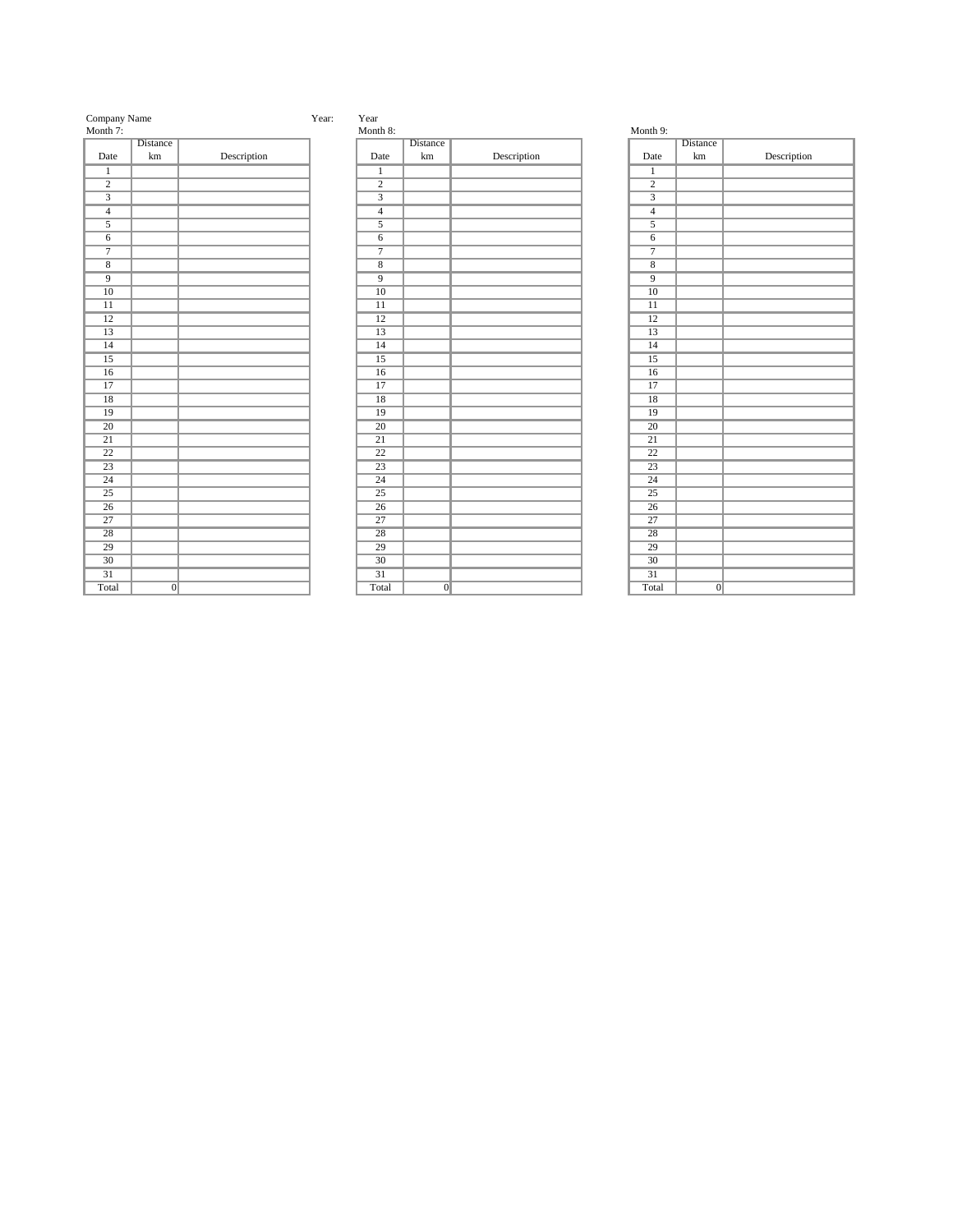| Company Nam |  |
|-------------|--|
|-------------|--|

| Month 7:        |                 |             | Month {            |
|-----------------|-----------------|-------------|--------------------|
|                 | <b>Distance</b> |             |                    |
| Date            | $\,\mathrm{km}$ | Description | Date               |
| $\overline{1}$  |                 |             | $\overline{1}$     |
| $\overline{2}$  |                 |             | $\overline{2}$     |
| $\overline{3}$  |                 |             | $\overline{3}$     |
| $\overline{4}$  |                 |             | $\overline{4}$     |
| $\overline{5}$  |                 |             | $\overline{5}$     |
| $\overline{6}$  |                 |             | 6                  |
| $\overline{7}$  |                 |             | $\overline{7}$     |
| $\overline{8}$  |                 |             | $\overline{\bf 8}$ |
| $\overline{9}$  |                 |             | $\overline{9}$     |
| $\overline{10}$ |                 |             | $\overline{10}$    |
| $\overline{11}$ |                 |             | $\overline{11}$    |
| $\overline{12}$ |                 |             | $\overline{12}$    |
| 13              |                 |             | 13                 |
| $\overline{14}$ |                 |             | $\overline{14}$    |
| $\overline{15}$ |                 |             | 15                 |
| $\overline{16}$ |                 |             | $\overline{16}$    |
| 17              |                 |             | 17                 |
| $\overline{18}$ |                 |             | 18                 |
| 19              |                 |             | 19                 |
| $\overline{20}$ |                 |             | $\overline{20}$    |
| $\overline{21}$ |                 |             | $\overline{21}$    |
| $\overline{22}$ |                 |             | $\overline{22}$    |
| $\overline{23}$ |                 |             | $\overline{23}$    |
| $\overline{24}$ |                 |             | $\overline{24}$    |
| $25\,$          |                 |             | 25                 |
| $\overline{26}$ |                 |             | $\overline{26}$    |
| $\overline{27}$ |                 |             | $\overline{27}$    |
| $\overline{28}$ |                 |             | $\overline{28}$    |
| $\overline{29}$ |                 |             | 29                 |
| $\overline{30}$ |                 |             | $30\,$             |
| $\overline{31}$ |                 |             | $\overline{31}$    |
| Total           | $\Omega$        |             | Tota               |

## me Year: Year: Year:

| 1,1011 <b>ul</b> 7. |                 |             |
|---------------------|-----------------|-------------|
|                     | <b>Distance</b> |             |
| Date                | km              | Description |
| $\overline{1}$      |                 |             |
| $\overline{2}$      |                 |             |
| $\overline{3}$      |                 |             |
| $\overline{4}$      |                 |             |
| $\overline{5}$      |                 |             |
| $\overline{6}$      |                 |             |
| $\overline{7}$      |                 |             |
| $\overline{8}$      |                 |             |
| $\overline{9}$      |                 |             |
| $\overline{10}$     |                 |             |
| $\overline{11}$     |                 |             |
| $\overline{12}$     |                 |             |
| $\overline{13}$     |                 |             |
| $\overline{14}$     |                 |             |
| $\overline{15}$     |                 |             |
| $\overline{16}$     |                 |             |
| $\overline{17}$     |                 |             |
| $\overline{18}$     |                 |             |
| $\overline{19}$     |                 |             |
| $\overline{20}$     |                 |             |
| $\overline{21}$     |                 |             |
| $\overline{22}$     |                 |             |
| $\overline{23}$     |                 |             |
| $\overline{24}$     |                 |             |
| $\overline{25}$     |                 |             |
| $\overline{26}$     |                 |             |
| $\overline{27}$     |                 |             |
| $\overline{28}$     |                 |             |
| $\overline{29}$     |                 |             |
| $\overline{30}$     |                 |             |
| $\overline{31}$     |                 |             |
| Total               | $\overline{0}$  |             |

| Month 7:        |                 |             | Month 8:        |                 |             | Month 9:        |                 |
|-----------------|-----------------|-------------|-----------------|-----------------|-------------|-----------------|-----------------|
|                 | Distance        |             |                 | Distance        |             |                 | Distance        |
| Date            | $\,\mathrm{km}$ | Description | Date            | $\,\mathrm{km}$ | Description | Date            | $\,\mathrm{km}$ |
| $\overline{1}$  |                 |             | $\mathbf{1}$    |                 |             | $\overline{1}$  |                 |
| $\overline{2}$  |                 |             | $\overline{2}$  |                 |             | $\overline{2}$  |                 |
| $\overline{3}$  |                 |             | $\overline{3}$  |                 |             | $\overline{3}$  |                 |
| $\overline{4}$  |                 |             | $\overline{4}$  |                 |             | $\overline{4}$  |                 |
| $\overline{5}$  |                 |             | $\overline{5}$  |                 |             | $\overline{5}$  |                 |
| $\sqrt{6}$      |                 |             | $6\,$           |                 |             | $\overline{6}$  |                 |
| $\overline{7}$  |                 |             | $\overline{7}$  |                 |             | $\overline{7}$  |                 |
| $\overline{8}$  |                 |             | $\overline{8}$  |                 |             | $\overline{8}$  |                 |
| $\overline{9}$  |                 |             | $\overline{9}$  |                 |             | $\overline{9}$  |                 |
| $\overline{10}$ |                 |             | $\overline{10}$ |                 |             | $\overline{10}$ |                 |
| $\overline{11}$ |                 |             | $\overline{11}$ |                 |             | $\overline{11}$ |                 |
| $\overline{12}$ |                 |             | $\overline{12}$ |                 |             | $\overline{12}$ |                 |
| $\overline{13}$ |                 |             | $\overline{13}$ |                 |             | $\overline{13}$ |                 |
| $\overline{14}$ |                 |             | $\overline{14}$ |                 |             | $\overline{14}$ |                 |
| $\overline{15}$ |                 |             | $\overline{15}$ |                 |             | $\overline{15}$ |                 |
| $\overline{16}$ |                 |             | $\overline{16}$ |                 |             | $\overline{16}$ |                 |
| $\overline{17}$ |                 |             | $\overline{17}$ |                 |             | $\overline{17}$ |                 |
| $\overline{18}$ |                 |             | $\overline{18}$ |                 |             | $\overline{18}$ |                 |
| $\overline{19}$ |                 |             | $\overline{19}$ |                 |             | $\overline{19}$ |                 |
| $\overline{20}$ |                 |             | $\overline{20}$ |                 |             | $\overline{20}$ |                 |
| $\overline{21}$ |                 |             | $\overline{21}$ |                 |             | $\overline{21}$ |                 |
| $\overline{22}$ |                 |             | $\overline{22}$ |                 |             | $\overline{22}$ |                 |
| $\overline{23}$ |                 |             | $\overline{23}$ |                 |             | $\overline{23}$ |                 |
| $\overline{24}$ |                 |             | $\overline{24}$ |                 |             | $\overline{24}$ |                 |
| $\overline{25}$ |                 |             | $\overline{25}$ |                 |             | $\overline{25}$ |                 |
| $\overline{26}$ |                 |             | $\overline{26}$ |                 |             | $\overline{26}$ |                 |
| $\overline{27}$ |                 |             | $\overline{27}$ |                 |             | $\overline{27}$ |                 |
| $\overline{28}$ |                 |             | $\overline{28}$ |                 |             | $\overline{28}$ |                 |
| $\overline{29}$ |                 |             | $\overline{29}$ |                 |             | $\overline{29}$ |                 |
| $\overline{30}$ |                 |             | $\overline{30}$ |                 |             | $\overline{30}$ |                 |
| $\overline{31}$ |                 |             | $\overline{31}$ |                 |             | $\overline{31}$ |                 |
| Total           | $\overline{0}$  |             | Total           | $\overline{0}$  |             | Total           | $\overline{0}$  |